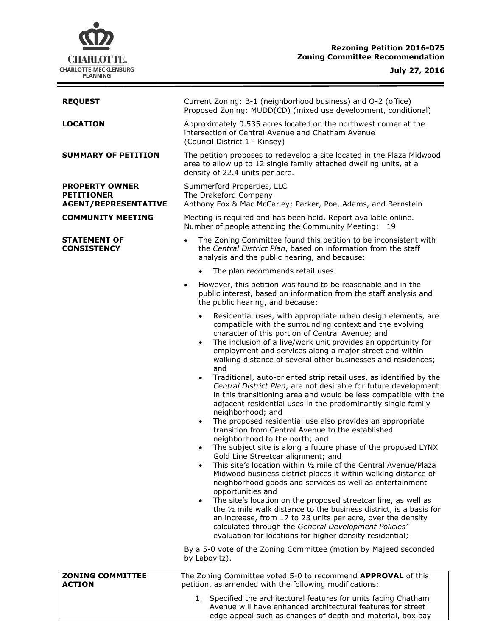

 $\equiv$ 

| <b>REQUEST</b>                                                            | Current Zoning: B-1 (neighborhood business) and O-2 (office)<br>Proposed Zoning: MUDD(CD) (mixed use development, conditional)                                                                                                                                                                                                                                                                                                                                                                                                                                                                                                                                                                                                                                                                                                                                                                                                                                                                                                                                                                                                                                                                                                                                                                                                                                                                                                                                                                                                                                                 |  |  |
|---------------------------------------------------------------------------|--------------------------------------------------------------------------------------------------------------------------------------------------------------------------------------------------------------------------------------------------------------------------------------------------------------------------------------------------------------------------------------------------------------------------------------------------------------------------------------------------------------------------------------------------------------------------------------------------------------------------------------------------------------------------------------------------------------------------------------------------------------------------------------------------------------------------------------------------------------------------------------------------------------------------------------------------------------------------------------------------------------------------------------------------------------------------------------------------------------------------------------------------------------------------------------------------------------------------------------------------------------------------------------------------------------------------------------------------------------------------------------------------------------------------------------------------------------------------------------------------------------------------------------------------------------------------------|--|--|
| <b>LOCATION</b>                                                           | Approximately 0.535 acres located on the northwest corner at the<br>intersection of Central Avenue and Chatham Avenue<br>(Council District 1 - Kinsey)                                                                                                                                                                                                                                                                                                                                                                                                                                                                                                                                                                                                                                                                                                                                                                                                                                                                                                                                                                                                                                                                                                                                                                                                                                                                                                                                                                                                                         |  |  |
| <b>SUMMARY OF PETITION</b>                                                | The petition proposes to redevelop a site located in the Plaza Midwood<br>area to allow up to 12 single family attached dwelling units, at a<br>density of 22.4 units per acre.                                                                                                                                                                                                                                                                                                                                                                                                                                                                                                                                                                                                                                                                                                                                                                                                                                                                                                                                                                                                                                                                                                                                                                                                                                                                                                                                                                                                |  |  |
| <b>PROPERTY OWNER</b><br><b>PETITIONER</b><br><b>AGENT/REPRESENTATIVE</b> | Summerford Properties, LLC<br>The Drakeford Company<br>Anthony Fox & Mac McCarley; Parker, Poe, Adams, and Bernstein                                                                                                                                                                                                                                                                                                                                                                                                                                                                                                                                                                                                                                                                                                                                                                                                                                                                                                                                                                                                                                                                                                                                                                                                                                                                                                                                                                                                                                                           |  |  |
| <b>COMMUNITY MEETING</b>                                                  | Meeting is required and has been held. Report available online.<br>Number of people attending the Community Meeting: 19                                                                                                                                                                                                                                                                                                                                                                                                                                                                                                                                                                                                                                                                                                                                                                                                                                                                                                                                                                                                                                                                                                                                                                                                                                                                                                                                                                                                                                                        |  |  |
| <b>STATEMENT OF</b><br><b>CONSISTENCY</b>                                 | The Zoning Committee found this petition to be inconsistent with<br>$\bullet$<br>the Central District Plan, based on information from the staff<br>analysis and the public hearing, and because:                                                                                                                                                                                                                                                                                                                                                                                                                                                                                                                                                                                                                                                                                                                                                                                                                                                                                                                                                                                                                                                                                                                                                                                                                                                                                                                                                                               |  |  |
|                                                                           | The plan recommends retail uses.<br>$\bullet$                                                                                                                                                                                                                                                                                                                                                                                                                                                                                                                                                                                                                                                                                                                                                                                                                                                                                                                                                                                                                                                                                                                                                                                                                                                                                                                                                                                                                                                                                                                                  |  |  |
|                                                                           | However, this petition was found to be reasonable and in the<br>$\bullet$<br>public interest, based on information from the staff analysis and<br>the public hearing, and because:                                                                                                                                                                                                                                                                                                                                                                                                                                                                                                                                                                                                                                                                                                                                                                                                                                                                                                                                                                                                                                                                                                                                                                                                                                                                                                                                                                                             |  |  |
|                                                                           | Residential uses, with appropriate urban design elements, are<br>$\bullet$<br>compatible with the surrounding context and the evolving<br>character of this portion of Central Avenue; and<br>The inclusion of a live/work unit provides an opportunity for<br>$\bullet$<br>employment and services along a major street and within<br>walking distance of several other businesses and residences;<br>and<br>Traditional, auto-oriented strip retail uses, as identified by the<br>$\bullet$<br>Central District Plan, are not desirable for future development<br>in this transitioning area and would be less compatible with the<br>adjacent residential uses in the predominantly single family<br>neighborhood; and<br>The proposed residential use also provides an appropriate<br>$\bullet$<br>transition from Central Avenue to the established<br>neighborhood to the north; and<br>The subject site is along a future phase of the proposed LYNX<br>Gold Line Streetcar alignment; and<br>This site's location within 1/2 mile of the Central Avenue/Plaza<br>$\bullet$<br>Midwood business district places it within walking distance of<br>neighborhood goods and services as well as entertainment<br>opportunities and<br>The site's location on the proposed streetcar line, as well as<br>$\bullet$<br>the 1/2 mile walk distance to the business district, is a basis for<br>an increase, from 17 to 23 units per acre, over the density<br>calculated through the General Development Policies'<br>evaluation for locations for higher density residential; |  |  |
|                                                                           | By a 5-0 vote of the Zoning Committee (motion by Majeed seconded<br>by Labovitz).                                                                                                                                                                                                                                                                                                                                                                                                                                                                                                                                                                                                                                                                                                                                                                                                                                                                                                                                                                                                                                                                                                                                                                                                                                                                                                                                                                                                                                                                                              |  |  |
| <b>ZONING COMMITTEE</b><br><b>ACTION</b>                                  | The Zoning Committee voted 5-0 to recommend APPROVAL of this<br>petition, as amended with the following modifications:                                                                                                                                                                                                                                                                                                                                                                                                                                                                                                                                                                                                                                                                                                                                                                                                                                                                                                                                                                                                                                                                                                                                                                                                                                                                                                                                                                                                                                                         |  |  |
|                                                                           | 1. Specified the architectural features for units facing Chatham<br>Avenue will have enhanced architectural features for street<br>edge appeal such as changes of depth and material, box bay                                                                                                                                                                                                                                                                                                                                                                                                                                                                                                                                                                                                                                                                                                                                                                                                                                                                                                                                                                                                                                                                                                                                                                                                                                                                                                                                                                                  |  |  |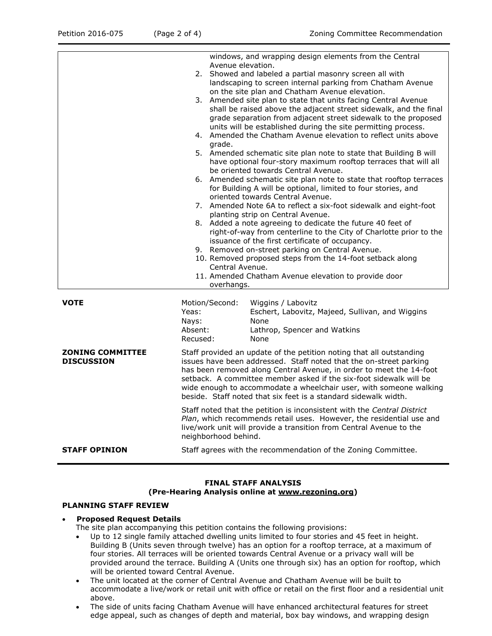|                                              |                                                                                                                                                                                                                                                                                                                                                                                                                                                                                                                                                                                                                                                                                                           | on the site plan and Chatham Avenue elevation.<br>3. Amended site plan to state that units facing Central Avenue                                                                                     |  |  |
|----------------------------------------------|-----------------------------------------------------------------------------------------------------------------------------------------------------------------------------------------------------------------------------------------------------------------------------------------------------------------------------------------------------------------------------------------------------------------------------------------------------------------------------------------------------------------------------------------------------------------------------------------------------------------------------------------------------------------------------------------------------------|------------------------------------------------------------------------------------------------------------------------------------------------------------------------------------------------------|--|--|
|                                              |                                                                                                                                                                                                                                                                                                                                                                                                                                                                                                                                                                                                                                                                                                           | shall be raised above the adjacent street sidewalk, and the final<br>grade separation from adjacent street sidewalk to the proposed<br>units will be established during the site permitting process. |  |  |
|                                              | grade.                                                                                                                                                                                                                                                                                                                                                                                                                                                                                                                                                                                                                                                                                                    | 4. Amended the Chatham Avenue elevation to reflect units above                                                                                                                                       |  |  |
|                                              | 5. Amended schematic site plan note to state that Building B will<br>have optional four-story maximum rooftop terraces that will all<br>be oriented towards Central Avenue.<br>6. Amended schematic site plan note to state that rooftop terraces<br>for Building A will be optional, limited to four stories, and<br>oriented towards Central Avenue.<br>7. Amended Note 6A to reflect a six-foot sidewalk and eight-foot<br>planting strip on Central Avenue.<br>8. Added a note agreeing to dedicate the future 40 feet of<br>right-of-way from centerline to the City of Charlotte prior to the<br>issuance of the first certificate of occupancy.<br>9. Removed on-street parking on Central Avenue. |                                                                                                                                                                                                      |  |  |
|                                              |                                                                                                                                                                                                                                                                                                                                                                                                                                                                                                                                                                                                                                                                                                           |                                                                                                                                                                                                      |  |  |
|                                              |                                                                                                                                                                                                                                                                                                                                                                                                                                                                                                                                                                                                                                                                                                           |                                                                                                                                                                                                      |  |  |
|                                              |                                                                                                                                                                                                                                                                                                                                                                                                                                                                                                                                                                                                                                                                                                           |                                                                                                                                                                                                      |  |  |
|                                              |                                                                                                                                                                                                                                                                                                                                                                                                                                                                                                                                                                                                                                                                                                           |                                                                                                                                                                                                      |  |  |
|                                              |                                                                                                                                                                                                                                                                                                                                                                                                                                                                                                                                                                                                                                                                                                           | 10. Removed proposed steps from the 14-foot setback along<br>Central Avenue.                                                                                                                         |  |  |
|                                              | overhangs.                                                                                                                                                                                                                                                                                                                                                                                                                                                                                                                                                                                                                                                                                                | 11. Amended Chatham Avenue elevation to provide door                                                                                                                                                 |  |  |
| <b>VOTE</b>                                  | Motion/Second:<br>Yeas:<br>Nays:<br>Absent:<br>Recused:                                                                                                                                                                                                                                                                                                                                                                                                                                                                                                                                                                                                                                                   | Wiggins / Labovitz<br>Eschert, Labovitz, Majeed, Sullivan, and Wiggins<br>None<br>Lathrop, Spencer and Watkins<br>None                                                                               |  |  |
| <b>ZONING COMMITTEE</b><br><b>DISCUSSION</b> | Staff provided an update of the petition noting that all outstanding<br>issues have been addressed. Staff noted that the on-street parking<br>has been removed along Central Avenue, in order to meet the 14-foot<br>setback. A committee member asked if the six-foot sidewalk will be<br>wide enough to accommodate a wheelchair user, with someone walking<br>beside. Staff noted that six feet is a standard sidewalk width.                                                                                                                                                                                                                                                                          |                                                                                                                                                                                                      |  |  |
|                                              | Staff noted that the petition is inconsistent with the Central District<br>Plan, which recommends retail uses. However, the residential use and<br>live/work unit will provide a transition from Central Avenue to the<br>neighborhood behind.                                                                                                                                                                                                                                                                                                                                                                                                                                                            |                                                                                                                                                                                                      |  |  |
| <b>STAFF OPINION</b>                         | Staff agrees with the recommendation of the Zoning Committee.                                                                                                                                                                                                                                                                                                                                                                                                                                                                                                                                                                                                                                             |                                                                                                                                                                                                      |  |  |

## **FINAL STAFF ANALYSIS**

## **(Pre-Hearing Analysis online at [www.rezoning.org\)](http://www.rezoning.org/)**

## **PLANNING STAFF REVIEW**

# **Proposed Request Details**

- The site plan accompanying this petition contains the following provisions:
- Up to 12 single family attached dwelling units limited to four stories and 45 feet in height. Building B (Units seven through twelve) has an option for a rooftop terrace, at a maximum of four stories. All terraces will be oriented towards Central Avenue or a privacy wall will be provided around the terrace. Building A (Units one through six) has an option for rooftop, which will be oriented toward Central Avenue.
- The unit located at the corner of Central Avenue and Chatham Avenue will be built to accommodate a live/work or retail unit with office or retail on the first floor and a residential unit above.
- The side of units facing Chatham Avenue will have enhanced architectural features for street edge appeal, such as changes of depth and material, box bay windows, and wrapping design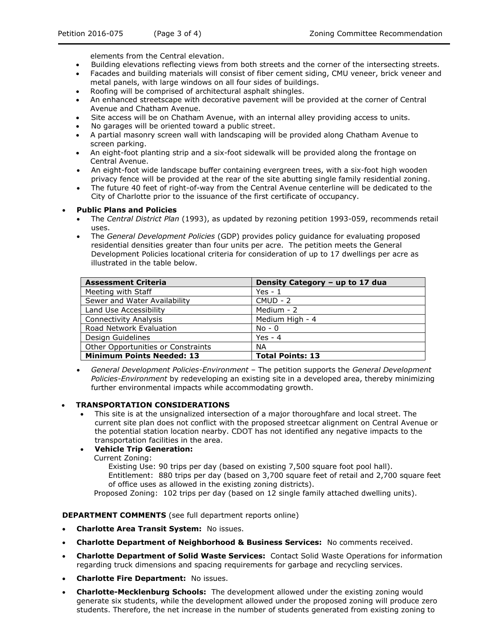elements from the Central elevation.

- Building elevations reflecting views from both streets and the corner of the intersecting streets.
- Facades and building materials will consist of fiber cement siding, CMU veneer, brick veneer and metal panels, with large windows on all four sides of buildings.
- Roofing will be comprised of architectural asphalt shingles.
- An enhanced streetscape with decorative pavement will be provided at the corner of Central Avenue and Chatham Avenue.
- Site access will be on Chatham Avenue, with an internal alley providing access to units.
- No garages will be oriented toward a public street.
- A partial masonry screen wall with landscaping will be provided along Chatham Avenue to screen parking.
- An eight-foot planting strip and a six-foot sidewalk will be provided along the frontage on Central Avenue.
- An eight-foot wide landscape buffer containing evergreen trees, with a six-foot high wooden privacy fence will be provided at the rear of the site abutting single family residential zoning.
- The future 40 feet of right-of-way from the Central Avenue centerline will be dedicated to the City of Charlotte prior to the issuance of the first certificate of occupancy.

#### **Public Plans and Policies**

- The *Central District Plan* (1993), as updated by rezoning petition 1993-059, recommends retail uses.
- The *General Development Policies* (GDP) provides policy guidance for evaluating proposed residential densities greater than four units per acre. The petition meets the General Development Policies locational criteria for consideration of up to 17 dwellings per acre as illustrated in the table below.

| <b>Assessment Criteria</b>         | Density Category - up to 17 dua |
|------------------------------------|---------------------------------|
| Meeting with Staff                 | Yes - $1$                       |
| Sewer and Water Availability       | $CMUD - 2$                      |
| Land Use Accessibility             | Medium - 2                      |
| <b>Connectivity Analysis</b>       | Medium High - 4                 |
| Road Network Evaluation            | $No - 0$                        |
| Design Guidelines                  | Yes - $4$                       |
| Other Opportunities or Constraints | NА                              |
| <b>Minimum Points Needed: 13</b>   | <b>Total Points: 13</b>         |

 *General Development Policies-Environment –* The petition supports the *General Development Policies-Environment* by redeveloping an existing site in a developed area, thereby minimizing further environmental impacts while accommodating growth.

#### **TRANSPORTATION CONSIDERATIONS**

 This site is at the unsignalized intersection of a major thoroughfare and local street. The current site plan does not conflict with the proposed streetcar alignment on Central Avenue or the potential station location nearby. CDOT has not identified any negative impacts to the transportation facilities in the area.

# **Vehicle Trip Generation:**

Current Zoning:

Existing Use: 90 trips per day (based on existing 7,500 square foot pool hall).

Entitlement: 880 trips per day (based on 3,700 square feet of retail and 2,700 square feet of office uses as allowed in the existing zoning districts).

Proposed Zoning: 102 trips per day (based on 12 single family attached dwelling units).

**DEPARTMENT COMMENTS** (see full department reports online)

- **Charlotte Area Transit System:** No issues.
- **Charlotte Department of Neighborhood & Business Services:** No comments received.
- **Charlotte Department of Solid Waste Services:** Contact Solid Waste Operations for information regarding truck dimensions and spacing requirements for garbage and recycling services.
- **Charlotte Fire Department:** No issues.
- **Charlotte-Mecklenburg Schools:** The development allowed under the existing zoning would generate six students, while the development allowed under the proposed zoning will produce zero students. Therefore, the net increase in the number of students generated from existing zoning to